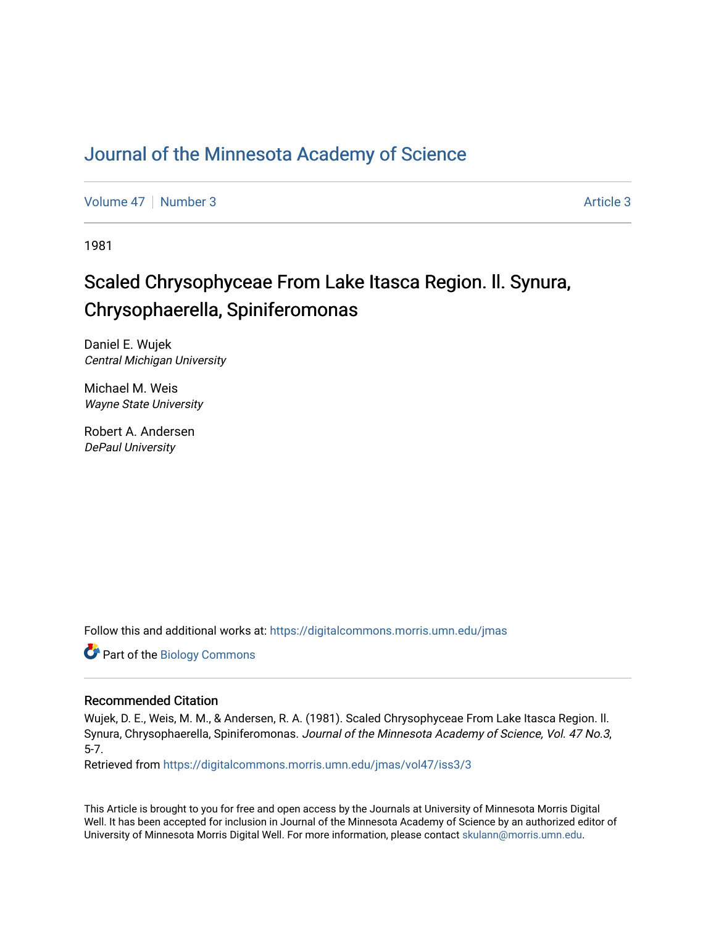### [Journal of the Minnesota Academy of Science](https://digitalcommons.morris.umn.edu/jmas)

[Volume 47](https://digitalcommons.morris.umn.edu/jmas/vol47) | [Number 3](https://digitalcommons.morris.umn.edu/jmas/vol47/iss3) Article 3

1981

## Scaled Chrysophyceae From Lake Itasca Region. II. Synura, Chrysophaerella, Spiniferomonas

Daniel E. Wujek Central Michigan University

Michael M. Weis Wayne State University

Robert A. Andersen DePaul University

Follow this and additional works at: [https://digitalcommons.morris.umn.edu/jmas](https://digitalcommons.morris.umn.edu/jmas?utm_source=digitalcommons.morris.umn.edu%2Fjmas%2Fvol47%2Fiss3%2F3&utm_medium=PDF&utm_campaign=PDFCoverPages) 

Part of the [Biology Commons](https://network.bepress.com/hgg/discipline/41?utm_source=digitalcommons.morris.umn.edu%2Fjmas%2Fvol47%2Fiss3%2F3&utm_medium=PDF&utm_campaign=PDFCoverPages) 

#### Recommended Citation

Wujek, D. E., Weis, M. M., & Andersen, R. A. (1981). Scaled Chrysophyceae From Lake Itasca Region. ll. Synura, Chrysophaerella, Spiniferomonas. Journal of the Minnesota Academy of Science, Vol. 47 No.3, 5-7.

Retrieved from [https://digitalcommons.morris.umn.edu/jmas/vol47/iss3/3](https://digitalcommons.morris.umn.edu/jmas/vol47/iss3/3?utm_source=digitalcommons.morris.umn.edu%2Fjmas%2Fvol47%2Fiss3%2F3&utm_medium=PDF&utm_campaign=PDFCoverPages)

This Article is brought to you for free and open access by the Journals at University of Minnesota Morris Digital Well. It has been accepted for inclusion in Journal of the Minnesota Academy of Science by an authorized editor of University of Minnesota Morris Digital Well. For more information, please contact [skulann@morris.umn.edu](mailto:skulann@morris.umn.edu).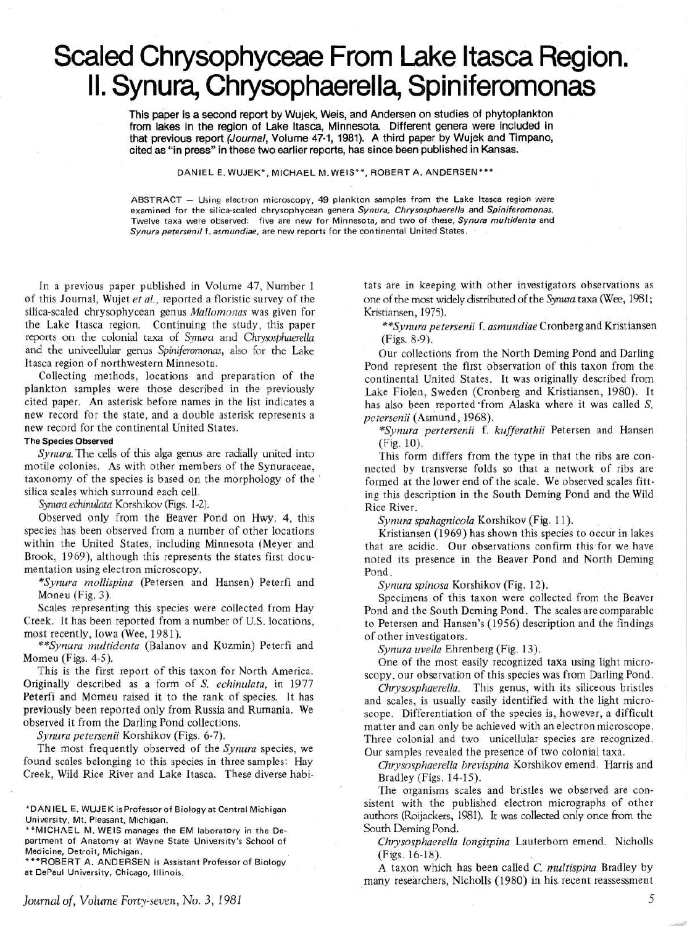# **Scaled Chrysophyceae From Lake Itasca Region. II. Synura, Chrysophaerella, Spiniferomonas**

This paper is a second report by Wujek, Weis, and Andersen on studies of phytoplankton from lakes in the region of Lake Itasca, Minnesota. Different genera were included in that previous report (Journal, Volume 47-1, 1981). A third paper by Wujek and Timpano, cited as "in press" in these two earlier reports, has since been published in Kansas.

DANIEL E. WUJEK\*, MICHAEL M. WEIS\*\*, ROBERT A. ANDERSEN\*\*\*

ABSTRACT - Using electron microscopy, 49 plankton samples from the Lake Itasca region were examined for the silica-scaled chrysophycean genera Synura, Chrysosphaerella and Spiniferomonas. Twelve taxa were observed: five are new for Minnesota, and two of these, Synura multidenta and Synura petersenil f. asmundiae, are new reports for the continental United States.

In a previous paper published in Volume 47, Number 1 of this Journal, Wujet *et al.,* reported a floristic survey of the silica-scaled chrysophycean genus *Mallomonas* was given for the Lake Itasca region. Continuing the study, this paper reports on the colonial taxa of *Synura* and *Chrysosphaerella*  and the univeellular genus *Spiniferarnonas,* also for the Lake Itasca region of northwestern Minnesota.

Collecting methods, locations and preparation of the plankton samples were those described in the previously cited paper. An asterisk before names in the list indicates a new record for the state, and a double asterisk represents a new record for the continental United States.

#### The Species Observed

*Synura.* The cells of this alga genus are radially united into motile colonies. As with other members of the Synuraceae, taxonomy of the species is based on the morphology of the silica scales which surround each cell.

*Synura echinulata* Korshikov (Figs. 1-2).

Observed only from the Beaver Pond on Hwy. 4, this species has been observed from a number of other locations within the United States, including Minnesota (Meyer and Brook, 1969), although this represents the states first documentation using electron microscopy.

*\*Synura mollispina* (Petersen and Hansen) Peterfi and Moneu (Fig. 3).

Scales representing this species were collected from Hay Creek. It has been reported from a number of U.S. locations, most recently, Iowa (Wee, 1981).

*\*\*Synura multidenta* (Balanov and Kuzmin) Peterfi and Momeu (Figs. 4-5).

This is the first report of this taxon for North America. Originally described as a form of S. *echinulata,* in 1977 Peterfi and Momeu raised it to the rank of species. It has previously been reported only from Russia and Rumania. We observed it from the Darling Pond collections.

*Synura petersenii* Korshikov (Figs. 6-7).

The most frequently observed of the *Synura* species, we found scales belonging to this species in three samples: Hay Creek, Wild Rice River and Lake Itasca. These diverse habi-

\*\*MICHAEL M. WEIS manages the EM laboratory in the Department of Anatomy at Wayne State University's School of Medicine, Detroit, Michigan.

\*\*\*ROBERT A. ANDERSEN is Assistant Professor of Biology at DePaul University, Chicago, Illinois.

*Journal of, Volume Forty-seven, No.3, 1981* 

tats are in keeping with other investigators observations as one of the most widely distributed of the *Synura* taxa (Wee, 1981; Kristiansen, 1975).

*\*\*Synura petersenii* f. *asmundiae* Cronberg and Kristiansen (Figs. 8-9).

Our collections from the North Deming Pond and Darling Pond represent the first observation of this taxon from the continental United States. It was originally described from Lake Fiolen, Sweden (Cronberg and Kristiansen, 1980). It has also been reported from Alaska where it was called S. *petersenii* (Asmund, 1968).

*\*Synura pertersenii* f. *kufferathii* Petersen and Hansen (Fig. 10).

This form differs from the type in that the ribs are connected by transverse folds so that a network of ribs are formed at the lower end of the scale. We observed scales fitting this description in the South Deming Pond and the Wild Rice River.

*Synura spahagnicola* Korshikov (Fig. 11 ).

Kristiansen (1969) has shown this species to occur in lakes that are acidic. Our observations confirm this for we have noted its presence in the Beaver Pond and North Deming Pond.

*Synura spinosa* Korshikov (Fig. 12).

Specimens of this taxon were collected from the Beaver Pond and the South Deming Pond. The scales are comparable to Petersen and Hansen's (1956) description and the findings of other investigators.

*Synura uvella* Ehrenberg (Fig. 13).

One of the most easily recognized taxa using light microscopy, our observation of this species was from Darling Pond.

*Chrysosphaerella.* This genus, with its siliceous bristles and scales, is usually easily identified with the light microscope. Differentiation of the species is, however, a difficult matter and can only be achieved with an electron microscope. Three colonial and two unicellular species are recognized. Our samples revealed the presence of two colonial taxa.

*Chrysosphaerella brevispina* Korshikov emend. Harris and Bradley (Figs. 14-15).

The organisms scales and bristles we observed are consistent with the published electron micrographs of other authors (Roijackers, 1981). It was collected only once from the South Deming Pond.

*Chrysosphaerella longispina* Lauterborn emend. Nicholls (Figs. 16-18).

A taxon which has been called C. *multispina* Bradley by many researchers, Nicholls (1980) in his. recent reassessment

*5* 

<sup>\*</sup>DANIEL E. WUJEK is Professor of Biology at Central Michigan University, Mt. Pleasant, Michigan.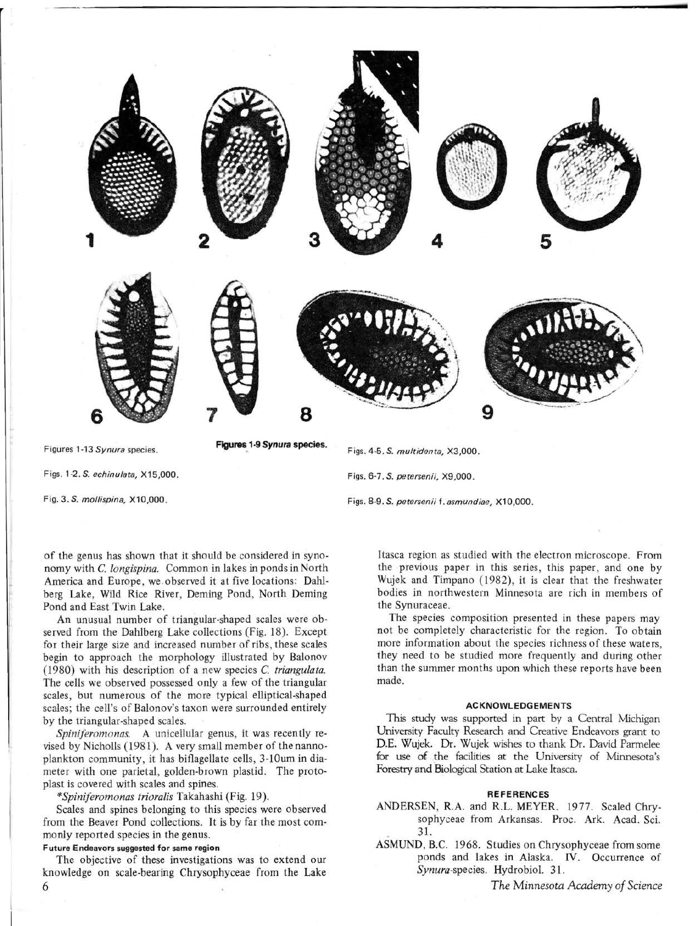

Figs.1-2.S. *echinu/ata,* X15,000.

Fig. *3.S. mollispina,* X10,000.

of the genus has shown that it should be considered in synonomy with *C. longispina.* Common in lakes in ponds in North America and Europe, we observed it at five locations: Dahlberg Lake, Wild Rice River, Deming Pond, North Deming Pond and East Twin Lake.

An unusual number of triangular-shaped scales were observed from the Dahlberg Lake collections (Fig. 18). Except for their large size and increased number of ribs, these scales begin to approach the morphology illustrated by Balonov (1980) with his description of a new species *C. triangulata.*  The cells we observed possessed only a few of the triangular scales, but numerous of the more typical elliptical-shaped scales; the cell's of Balonov's taxon were surrounded entirely by the triangular-shaped scales.

*Spiniferomonas.* A unicellular genus, it was recently revised by Nicholls (1981). A very small member of the nannoplankton community, it has biflagellate cells, 3-lOum in diameter with one parietal, golden-brown plastid. The protoplast is covered with scales and spines.

*\*Spiniferomonas trioralis* Takahashi (Fig. 19).

Scales and spines belonging to this species were observed from the Beaver Pond collections. It is by far the most commonly reported species in the genus.

#### Future Endeavors suggested for same region

The objective of these investigations was to extend our knowledge on scale-bearing Chrysophyceae from the Lake

Figs. 4-5. *S. multidenta,* X3,000 .

Figs. 6-7. *S. petersenii,* X9,000.

Figs. 8-9. *S. petersenii* f. *asmundiae,* X10,000.

Itasca region as studied with the electron microscope. From the previous paper in this series, this paper, and one by Wujek and Timpano (1982), it is clear that the freshwater bodies in northwestern Minnesota are rich in members of the Synuraceae.

The species composition presented in these papers may not be completely characteristic for the region. To obtain more information about the species richness of these waters, they need to be studied more frequently and during other than the summer months upon which these reports have been made.

#### ACKNOWLEDGEMENTS

This study was supported in part by a Central Michigan University Faculty Research and Creative Endeavors grant to D.E. Wujek. Dr. Wujek wishes to thank Dr. David Parmelee for use of the facilities at the University of Minnesota's Forestry and Biological Station at Lake Itasca.

#### REFERENCES

- ANDERSEN, R.A. and R.L. MEYER. 1977. Scaled Chrysophyceae from Arkansas. Proc. Ark. Acad. Sci. 31. .
- ASMUND, B.C. 1968. Studies on Chrysophyceae from some ponds and lakes in Alaska. IV. Occurrence of *Synura-species.* Hydrobiol. 31.

*The Minnesota Academy of Science* 

6